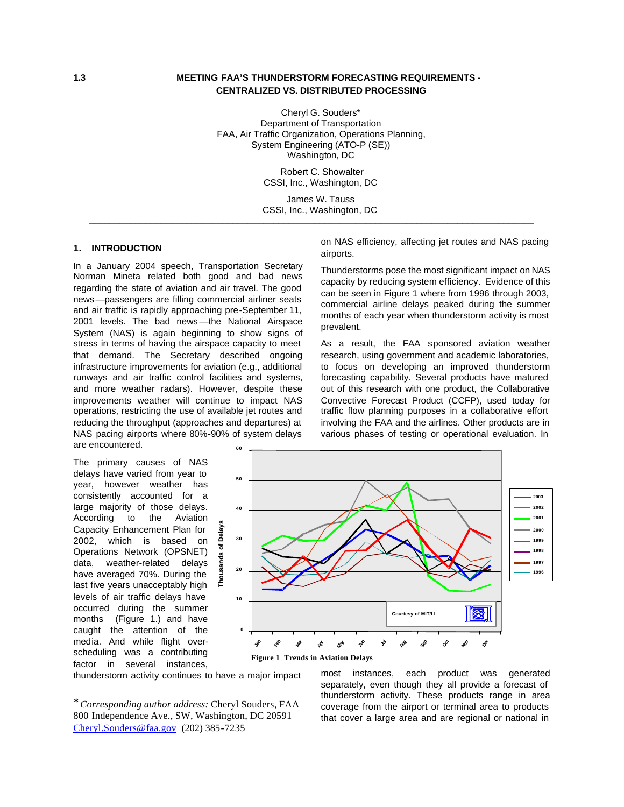### **1.3 MEETING FAA'S THUNDERSTORM FORECASTING REQUIREMENTS - CENTRALIZED VS. DISTRIBUTED PROCESSING**

Cheryl G. Souders\* Department of Transportation FAA, Air Traffic Organization, Operations Planning, System Engineering (ATO-P (SE)) Washington, DC

> Robert C. Showalter CSSI, Inc., Washington, DC

James W. Tauss CSSI, Inc., Washington, DC **\_\_\_\_\_\_\_\_\_\_\_\_\_\_\_\_\_\_\_\_\_\_\_\_\_\_\_\_\_\_\_\_\_\_\_\_\_\_\_\_\_\_\_\_\_\_\_\_\_\_\_\_\_\_\_\_\_\_\_\_\_\_\_\_\_\_\_\_\_\_\_\_\_\_\_\_\_\_\_\_\_\_\_\_\_\_\_**

#### **1. INTRODUCTION\***

In a January 2004 speech, Transportation Secretary Norman Mineta related both good and bad news regarding the state of aviation and air travel. The good news—passengers are filling commercial airliner seats and air traffic is rapidly approaching pre-September 11, 2001 levels. The bad news—the National Airspace System (NAS) is again beginning to show signs of stress in terms of having the airspace capacity to meet that demand. The Secretary described ongoing infrastructure improvements for aviation (e.g., additional runways and air traffic control facilities and systems, and more weather radars). However, despite these improvements weather will continue to impact NAS operations, restricting the use of available jet routes and reducing the throughput (approaches and departures) at NAS pacing airports where 80%-90% of system delays are encountered. **60**

The primary causes of NAS delays have varied from year to year, however weather has consistently accounted for a large majority of those delays. According to the Aviation Capacity Enhancement Plan for 2002, which is based on Operations Network (OPSNET) data, weather-related delays have averaged 70%. During the last five years unacceptably high levels of air traffic delays have occurred during the summer months (Figure 1.) and have caught the attention of the media. And while flight overscheduling was a contributing factor in several instances,

 $\overline{a}$ 

on NAS efficiency, affecting jet routes and NAS pacing airports.

Thunderstorms pose the most significant impact on NAS capacity by reducing system efficiency. Evidence of this can be seen in Figure 1 where from 1996 through 2003, commercial airline delays peaked during the summer months of each year when thunderstorm activity is most prevalent.

As a result, the FAA sponsored aviation weather research, using government and academic laboratories, to focus on developing an improved thunderstorm forecasting capability. Several products have matured out of this research with one product, the Collaborative Convective Forecast Product (CCFP), used today for traffic flow planning purposes in a collaborative effort involving the FAA and the airlines. Other products are in various phases of testing or operational evaluation. In



thunderstorm activity continues to have a major impact

most instances, each product was generated separately, even though they all provide a forecast of thunderstorm activity. These products range in area coverage from the airport or terminal area to products that cover a large area and are regional or national in

<sup>∗</sup> *Corresponding author address:* Cheryl Souders, FAA 800 Independence Ave., SW, Washington, DC 20591 Cheryl.Souders@faa.gov (202) 385-7235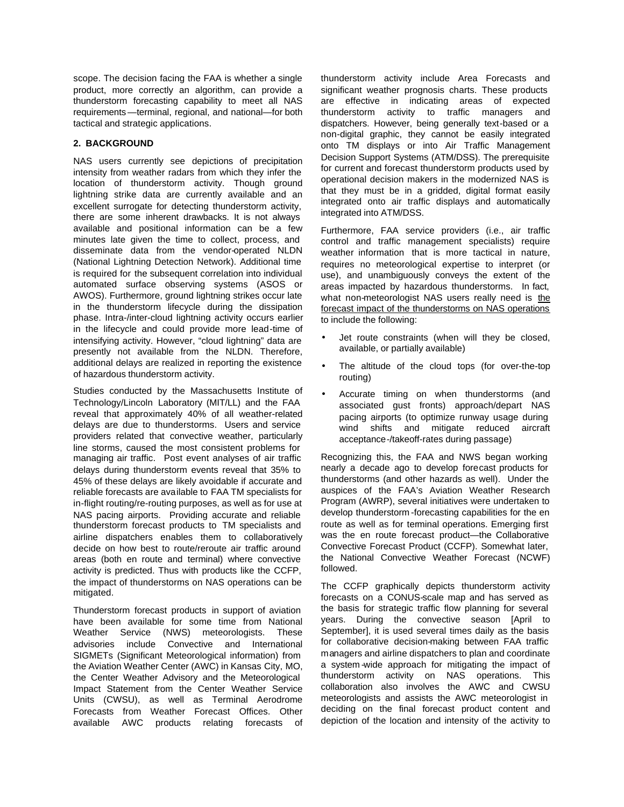scope. The decision facing the FAA is whether a single product, more correctly an algorithm, can provide a thunderstorm forecasting capability to meet all NAS requirements—terminal, regional, and national—for both tactical and strategic applications.

# **2. BACKGROUND**

NAS users currently see depictions of precipitation intensity from weather radars from which they infer the location of thunderstorm activity. Though ground lightning strike data are currently available and an excellent surrogate for detecting thunderstorm activity, there are some inherent drawbacks. It is not always available and positional information can be a few minutes late given the time to collect, process, and disseminate data from the vendor-operated NLDN (National Lightning Detection Network). Additional time is required for the subsequent correlation into individual automated surface observing systems (ASOS or AWOS). Furthermore, ground lightning strikes occur late in the thunderstorm lifecycle during the dissipation phase. Intra-/inter-cloud lightning activity occurs earlier in the lifecycle and could provide more lead-time of intensifying activity. However, "cloud lightning" data are presently not available from the NLDN. Therefore, additional delays are realized in reporting the existence of hazardous thunderstorm activity.

Studies conducted by the Massachusetts Institute of Technology/Lincoln Laboratory (MIT/LL) and the FAA reveal that approximately 40% of all weather-related delays are due to thunderstorms. Users and service providers related that convective weather, particularly line storms, caused the most consistent problems for managing air traffic. Post event analyses of air traffic delays during thunderstorm events reveal that 35% to 45% of these delays are likely avoidable if accurate and reliable forecasts are available to FAA TM specialists for in-flight routing/re-routing purposes, as well as for use at NAS pacing airports. Providing accurate and reliable thunderstorm forecast products to TM specialists and airline dispatchers enables them to collaboratively decide on how best to route/reroute air traffic around areas (both en route and terminal) where convective activity is predicted. Thus with products like the CCFP, the impact of thunderstorms on NAS operations can be mitigated.

Thunderstorm forecast products in support of aviation have been available for some time from National Weather Service (NWS) meteorologists. These advisories include Convective and International SIGMETs (Significant Meteorological information) from the Aviation Weather Center (AWC) in Kansas City, MO, the Center Weather Advisory and the Meteorological Impact Statement from the Center Weather Service Units (CWSU), as well as Terminal Aerodrome Forecasts from Weather Forecast Offices. Other available AWC products relating forecasts of

thunderstorm activity include Area Forecasts and significant weather prognosis charts. These products are effective in indicating areas of expected thunderstorm activity to traffic managers and dispatchers. However, being generally text-based or a non-digital graphic, they cannot be easily integrated onto TM displays or into Air Traffic Management Decision Support Systems (ATM/DSS). The prerequisite for current and forecast thunderstorm products used by operational decision makers in the modernized NAS is that they must be in a gridded, digital format easily integrated onto air traffic displays and automatically integrated into ATM/DSS.

Furthermore, FAA service providers (i.e., air traffic control and traffic management specialists) require weather information that is more tactical in nature, requires no meteorological expertise to interpret (or use), and unambiguously conveys the extent of the areas impacted by hazardous thunderstorms. In fact, what non-meteorologist NAS users really need is the forecast impact of the thunderstorms on NAS operations to include the following:

- Jet route constraints (when will they be closed, available, or partially available)
- The altitude of the cloud tops (for over-the-top routing)
- Accurate timing on when thunderstorms (and associated gust fronts) approach/depart NAS pacing airports (to optimize runway usage during wind shifts and mitigate reduced aircraft acceptance-/takeoff-rates during passage)

Recognizing this, the FAA and NWS began working nearly a decade ago to develop forecast products for thunderstorms (and other hazards as well). Under the auspices of the FAA's Aviation Weather Research Program (AWRP), several initiatives were undertaken to develop thunderstorm -forecasting capabilities for the en route as well as for terminal operations. Emerging first was the en route forecast product—the Collaborative Convective Forecast Product (CCFP). Somewhat later, the National Convective Weather Forecast (NCWF) followed.

The CCFP graphically depicts thunderstorm activity forecasts on a CONUS-scale map and has served as the basis for strategic traffic flow planning for several years. During the convective season [April to September], it is used several times daily as the basis for collaborative decision-making between FAA traffic managers and airline dispatchers to plan and coordinate a system -wide approach for mitigating the impact of thunderstorm activity on NAS operations. This collaboration also involves the AWC and CWSU meteorologists and assists the AWC meteorologist in deciding on the final forecast product content and depiction of the location and intensity of the activity to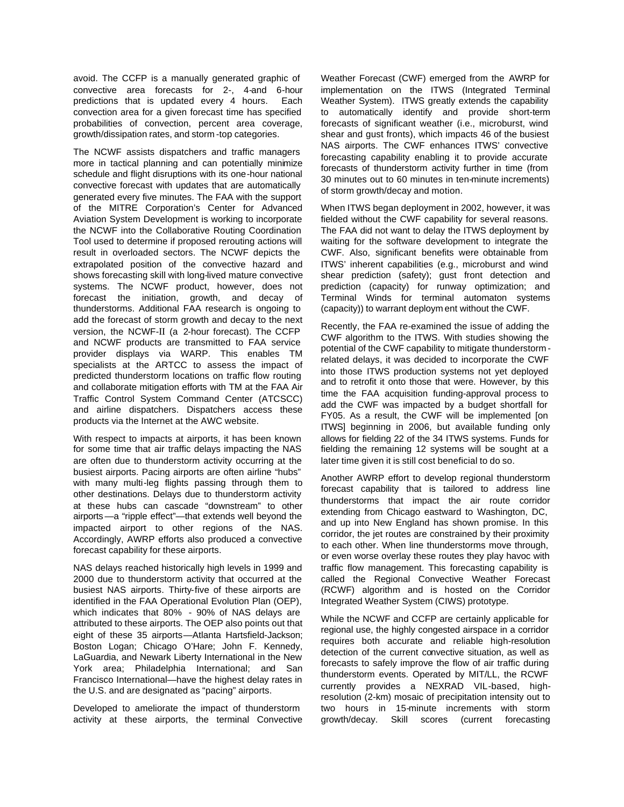avoid. The CCFP is a manually generated graphic of convective area forecasts for 2-, 4-and 6-hour predictions that is updated every 4 hours. Each convection area for a given forecast time has specified probabilities of convection, percent area coverage, growth/dissipation rates, and storm -top categories.

The NCWF assists dispatchers and traffic managers more in tactical planning and can potentially minimize schedule and flight disruptions with its one-hour national convective forecast with updates that are automatically generated every five minutes. The FAA with the support of the MITRE Corporation's Center for Advanced Aviation System Development is working to incorporate the NCWF into the Collaborative Routing Coordination Tool used to determine if proposed rerouting actions will result in overloaded sectors. The NCWF depicts the extrapolated position of the convective hazard and shows forecasting skill with long-lived mature convective systems. The NCWF product, however, does not forecast the initiation, growth, and decay of thunderstorms. Additional FAA research is ongoing to add the forecast of storm growth and decay to the next version, the NCWF-II (a 2-hour forecast). The CCFP and NCWF products are transmitted to FAA service provider displays via WARP. This enables TM specialists at the ARTCC to assess the impact of predicted thunderstorm locations on traffic flow routing and collaborate mitigation efforts with TM at the FAA Air Traffic Control System Command Center (ATCSCC) and airline dispatchers. Dispatchers access these products via the Internet at the AWC website.

With respect to impacts at airports, it has been known for some time that air traffic delays impacting the NAS are often due to thunderstorm activity occurring at the busiest airports. Pacing airports are often airline "hubs" with many multi-leg flights passing through them to other destinations. Delays due to thunderstorm activity at these hubs can cascade "downstream" to other airports—a "ripple effect"—that extends well beyond the impacted airport to other regions of the NAS. Accordingly, AWRP efforts also produced a convective forecast capability for these airports.

NAS delays reached historically high levels in 1999 and 2000 due to thunderstorm activity that occurred at the busiest NAS airports. Thirty-five of these airports are identified in the FAA Operational Evolution Plan (OEP), which indicates that 80% - 90% of NAS delays are attributed to these airports. The OEP also points out that eight of these 35 airports—Atlanta Hartsfield-Jackson; Boston Logan; Chicago O'Hare; John F. Kennedy, LaGuardia, and Newark Liberty International in the New York area; Philadelphia International; and San Francisco International—have the highest delay rates in the U.S. and are designated as "pacing" airports.

Developed to ameliorate the impact of thunderstorm activity at these airports, the terminal Convective Weather Forecast (CWF) emerged from the AWRP for implementation on the ITWS (Integrated Terminal Weather System). ITWS greatly extends the capability to automatically identify and provide short-term forecasts of significant weather (i.e., microburst, wind shear and gust fronts), which impacts 46 of the busiest NAS airports. The CWF enhances ITWS' convective forecasting capability enabling it to provide accurate forecasts of thunderstorm activity further in time (from 30 minutes out to 60 minutes in ten-minute increments) of storm growth/decay and motion.

When ITWS began deployment in 2002, however, it was fielded without the CWF capability for several reasons. The FAA did not want to delay the ITWS deployment by waiting for the software development to integrate the CWF. Also, significant benefits were obtainable from ITWS' inherent capabilities (e.g., microburst and wind shear prediction (safety); gust front detection and prediction (capacity) for runway optimization; and Terminal Winds for terminal automaton systems (capacity)) to warrant deploym ent without the CWF.

Recently, the FAA re-examined the issue of adding the CWF algorithm to the ITWS. With studies showing the potential of the CWF capability to mitigate thunderstorm related delays, it was decided to incorporate the CWF into those ITWS production systems not yet deployed and to retrofit it onto those that were. However, by this time the FAA acquisition funding-approval process to add the CWF was impacted by a budget shortfall for FY05. As a result, the CWF will be implemented [on ITWS] beginning in 2006, but available funding only allows for fielding 22 of the 34 ITWS systems. Funds for fielding the remaining 12 systems will be sought at a later time given it is still cost beneficial to do so.

Another AWRP effort to develop regional thunderstorm forecast capability that is tailored to address line thunderstorms that impact the air route corridor extending from Chicago eastward to Washington, DC, and up into New England has shown promise. In this corridor, the jet routes are constrained by their proximity to each other. When line thunderstorms move through, or even worse overlay these routes they play havoc with traffic flow management. This forecasting capability is called the Regional Convective Weather Forecast (RCWF) algorithm and is hosted on the Corridor Integrated Weather System (CIWS) prototype.

While the NCWF and CCFP are certainly applicable for regional use, the highly congested airspace in a corridor requires both accurate and reliable high-resolution detection of the current convective situation, as well as forecasts to safely improve the flow of air traffic during thunderstorm events. Operated by MIT/LL, the RCWF currently provides a NEXRAD VIL-based, highresolution (2-km) mosaic of precipitation intensity out to two hours in 15-minute increments with storm growth/decay. Skill scores (current forecasting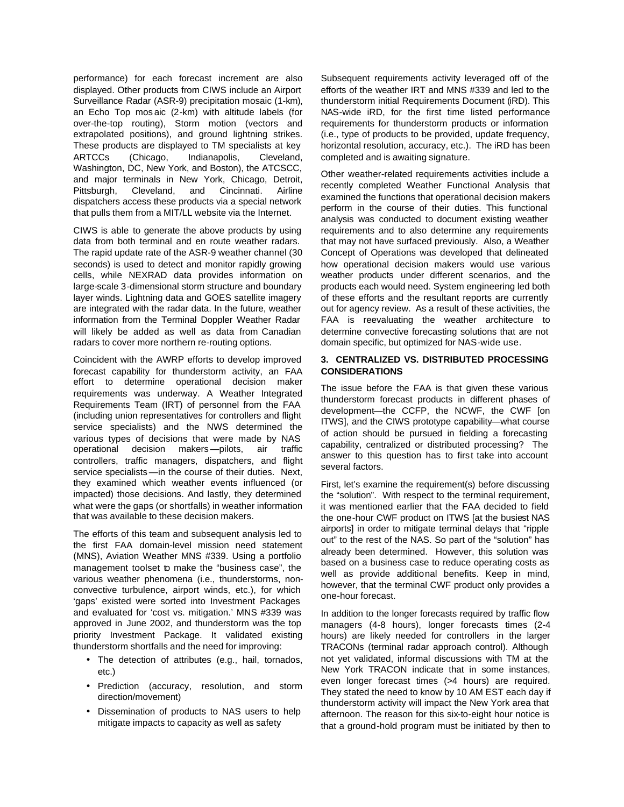performance) for each forecast increment are also displayed. Other products from CIWS include an Airport Surveillance Radar (ASR-9) precipitation mosaic (1-km), an Echo Top mos aic (2-km) with altitude labels (for over-the-top routing), Storm motion (vectors and extrapolated positions), and ground lightning strikes. These products are displayed to TM specialists at key ARTCCs (Chicago, Indianapolis, Cleveland, Washington, DC, New York, and Boston), the ATCSCC, and major terminals in New York, Chicago, Detroit, Pittsburgh, Cleveland, and Cincinnati. Airline dispatchers access these products via a special network that pulls them from a MIT/LL website via the Internet.

CIWS is able to generate the above products by using data from both terminal and en route weather radars. The rapid update rate of the ASR-9 weather channel (30 seconds) is used to detect and monitor rapidly growing cells, while NEXRAD data provides information on large-scale 3-dimensional storm structure and boundary layer winds. Lightning data and GOES satellite imagery are integrated with the radar data. In the future, weather information from the Terminal Doppler Weather Radar will likely be added as well as data from Canadian radars to cover more northern re-routing options.

Coincident with the AWRP efforts to develop improved forecast capability for thunderstorm activity, an FAA effort to determine operational decision maker requirements was underway. A Weather Integrated Requirements Team (IRT) of personnel from the FAA (including union representatives for controllers and flight service specialists) and the NWS determined the various types of decisions that were made by NAS operational decision makers—pilots, air traffic controllers, traffic managers, dispatchers, and flight service specialists—in the course of their duties. Next, they examined which weather events influenced (or impacted) those decisions. And lastly, they determined what were the gaps (or shortfalls) in weather information that was available to these decision makers.

The efforts of this team and subsequent analysis led to the first FAA domain-level mission need statement (MNS), Aviation Weather MNS #339. Using a portfolio management toolset to make the "business case", the various weather phenomena (i.e., thunderstorms, nonconvective turbulence, airport winds, etc.), for which 'gaps' existed were sorted into Investment Packages and evaluated for 'cost vs. mitigation.' MNS #339 was approved in June 2002, and thunderstorm was the top priority Investment Package. It validated existing thunderstorm shortfalls and the need for improving:

- The detection of attributes (e.g., hail, tornados, etc.)
- Prediction (accuracy, resolution, and storm direction/movement)
- Dissemination of products to NAS users to help mitigate impacts to capacity as well as safety

Subsequent requirements activity leveraged off of the efforts of the weather IRT and MNS #339 and led to the thunderstorm initial Requirements Document (iRD). This NAS-wide iRD, for the first time listed performance requirements for thunderstorm products or information (i.e., type of products to be provided, update frequency, horizontal resolution, accuracy, etc.). The iRD has been completed and is awaiting signature.

Other weather-related requirements activities include a recently completed Weather Functional Analysis that examined the functions that operational decision makers perform in the course of their duties. This functional analysis was conducted to document existing weather requirements and to also determine any requirements that may not have surfaced previously. Also, a Weather Concept of Operations was developed that delineated how operational decision makers would use various weather products under different scenarios, and the products each would need. System engineering led both of these efforts and the resultant reports are currently out for agency review. As a result of these activities, the FAA is reevaluating the weather architecture to determine convective forecasting solutions that are not domain specific, but optimized for NAS-wide use.

### **3. CENTRALIZED VS. DISTRIBUTED PROCESSING CONSIDERATIONS**

The issue before the FAA is that given these various thunderstorm forecast products in different phases of development—the CCFP, the NCWF, the CWF [on ITWS], and the CIWS prototype capability—what course of action should be pursued in fielding a forecasting capability, centralized or distributed processing? The answer to this question has to first take into account several factors.

First, let's examine the requirement(s) before discussing the "solution". With respect to the terminal requirement, it was mentioned earlier that the FAA decided to field the one-hour CWF product on ITWS [at the busiest NAS airports] in order to mitigate terminal delays that "ripple out" to the rest of the NAS. So part of the "solution" has already been determined. However, this solution was based on a business case to reduce operating costs as well as provide additional benefits. Keep in mind, however, that the terminal CWF product only provides a one-hour forecast.

In addition to the longer forecasts required by traffic flow managers (4-8 hours), longer forecasts times (2-4 hours) are likely needed for controllers in the larger TRACONs (terminal radar approach control). Although not yet validated, informal discussions with TM at the New York TRACON indicate that in some instances, even longer forecast times (>4 hours) are required. They stated the need to know by 10 AM EST each day if thunderstorm activity will impact the New York area that afternoon. The reason for this six-to-eight hour notice is that a ground-hold program must be initiated by then to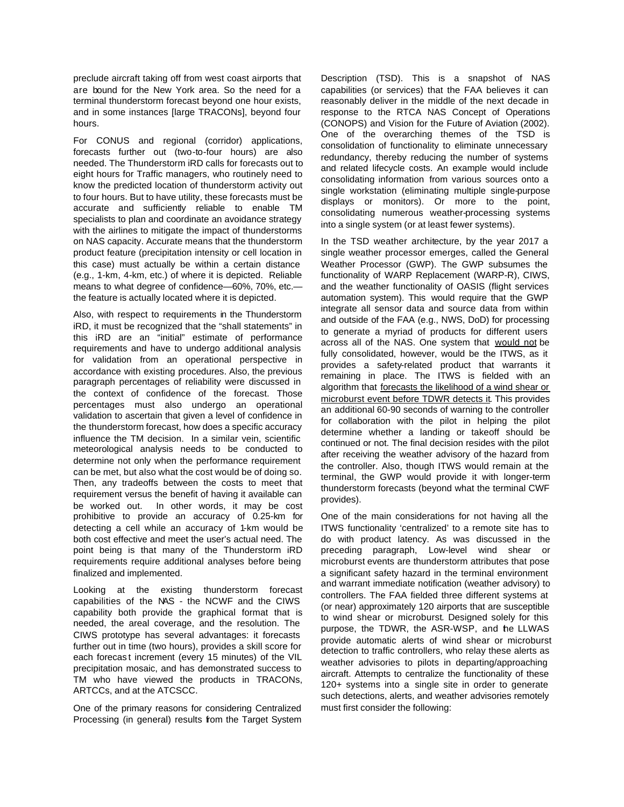preclude aircraft taking off from west coast airports that are bound for the New York area. So the need for a terminal thunderstorm forecast beyond one hour exists, and in some instances [large TRACONs], beyond four hours.

For CONUS and regional (corridor) applications, forecasts further out (two-to-four hours) are also needed. The Thunderstorm iRD calls for forecasts out to eight hours for Traffic managers, who routinely need to know the predicted location of thunderstorm activity out to four hours. But to have utility, these forecasts must be accurate and sufficiently reliable to enable TM specialists to plan and coordinate an avoidance strategy with the airlines to mitigate the impact of thunderstorms on NAS capacity. Accurate means that the thunderstorm product feature (precipitation intensity or cell location in this case) must actually be within a certain distance (e.g., 1-km, 4-km, etc.) of where it is depicted. Reliable means to what degree of confidence—60%, 70%, etc. the feature is actually located where it is depicted.

Also, with respect to requirements in the Thunderstorm iRD, it must be recognized that the "shall statements" in this iRD are an "initial" estimate of performance requirements and have to undergo additional analysis for validation from an operational perspective in accordance with existing procedures. Also, the previous paragraph percentages of reliability were discussed in the context of confidence of the forecast. Those percentages must also undergo an operational validation to ascertain that given a level of confidence in the thunderstorm forecast, how does a specific accuracy influence the TM decision. In a similar vein, scientific meteorological analysis needs to be conducted to determine not only when the performance requirement can be met, but also what the cost would be of doing so. Then, any tradeoffs between the costs to meet that requirement versus the benefit of having it available can be worked out. In other words, it may be cost prohibitive to provide an accuracy of 0.25-km for detecting a cell while an accuracy of 1-km would be both cost effective and meet the user's actual need. The point being is that many of the Thunderstorm iRD requirements require additional analyses before being finalized and implemented.

Looking at the existing thunderstorm forecast capabilities of the NAS - the NCWF and the CIWS capability both provide the graphical format that is needed, the areal coverage, and the resolution. The CIWS prototype has several advantages: it forecasts further out in time (two hours), provides a skill score for each forecas t increment (every 15 minutes) of the VIL precipitation mosaic, and has demonstrated success to TM who have viewed the products in TRACONs, ARTCCs, and at the ATCSCC.

One of the primary reasons for considering Centralized Processing (in general) results from the Target System

Description (TSD). This is a snapshot of NAS capabilities (or services) that the FAA believes it can reasonably deliver in the middle of the next decade in response to the RTCA NAS Concept of Operations (CONOPS) and Vision for the Future of Aviation (2002). One of the overarching themes of the TSD is consolidation of functionality to eliminate unnecessary redundancy, thereby reducing the number of systems and related lifecycle costs. An example would include consolidating information from various sources onto a single workstation (eliminating multiple single-purpose displays or monitors). Or more to the point, consolidating numerous weather-processing systems into a single system (or at least fewer systems).

In the TSD weather architecture, by the year 2017 a single weather processor emerges, called the General Weather Processor (GWP). The GWP subsumes the functionality of WARP Replacement (WARP-R), CIWS, and the weather functionality of OASIS (flight services automation system). This would require that the GWP integrate all sensor data and source data from within and outside of the FAA (e.g., NWS, DoD) for processing to generate a myriad of products for different users across all of the NAS. One system that would not be fully consolidated, however, would be the ITWS, as it provides a safety-related product that warrants it remaining in place. The ITWS is fielded with an algorithm that forecasts the likelihood of a wind shear or microburst event before TDWR detects it. This provides an additional 60-90 seconds of warning to the controller for collaboration with the pilot in helping the pilot determine whether a landing or takeoff should be continued or not. The final decision resides with the pilot after receiving the weather advisory of the hazard from the controller. Also, though ITWS would remain at the terminal, the GWP would provide it with longer-term thunderstorm forecasts (beyond what the terminal CWF provides).

One of the main considerations for not having all the ITWS functionality 'centralized' to a remote site has to do with product latency. As was discussed in the preceding paragraph, Low-level wind shear or microburst events are thunderstorm attributes that pose a significant safety hazard in the terminal environment and warrant immediate notification (weather advisory) to controllers. The FAA fielded three different systems at (or near) approximately 120 airports that are susceptible to wind shear or microburst. Designed solely for this purpose, the TDWR, the ASR-WSP, and the LLWAS provide automatic alerts of wind shear or microburst detection to traffic controllers, who relay these alerts as weather advisories to pilots in departing/approaching aircraft. Attempts to centralize the functionality of these 120+ systems into a single site in order to generate such detections, alerts, and weather advisories remotely must first consider the following: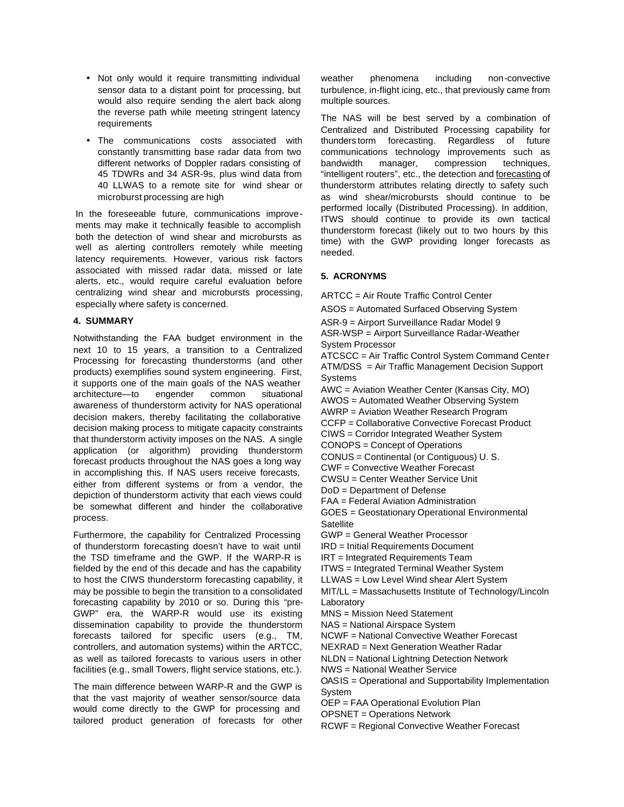- Not only would it require transmitting individual sensor data to a distant point for processing, but would also require sending the alert back along the reverse path while meeting stringent latency requirements
- The communications costs associated with constantly transmitting base radar data from two different networks of Doppler radars consisting of 45 TDWRs and 34 ASR-9s, plus wind data from 40 LLWAS to a remote site for wind shear or microburst processing are high

In the foreseeable future, communications improvements may make it technically feasible to accomplish both the detection of wind shear and microbursts as well as alerting controllers remotely while meeting latency requirements. However, various risk factors associated with missed radar data, missed or late alerts, etc., would require careful evaluation before centralizing wind shear and microbursts processing, especially where safety is concerned.

### **4. SUMMARY**

Notwithstanding the FAA budget environment in the next 10 to 15 years, a transition to a Centralized Processing for forecasting thunderstorms (and other products) exemplifies sound system engineering. First, it supports one of the main goals of the NAS weather<br>architecture—to engender common situational architecture—to engender common awareness of thunderstorm activity for NAS operational decision makers, thereby facilitating the collaborative decision making process to mitigate capacity constraints that thunderstorm activity imposes on the NAS. A single application (or algorithm) providing thunderstorm forecast products throughout the NAS goes a long way in accomplishing this. If NAS users receive forecasts, either from different systems or from a vendor, the depiction of thunderstorm activity that each views could be somewhat different and hinder the collaborative process.

Furthermore, the capability for Centralized Processing of thunderstorm forecasting doesn't have to wait until the TSD timeframe and the GWP. If the WARP-R is fielded by the end of this decade and has the capability to host the CIWS thunderstorm forecasting capability, it may be possible to begin the transition to a consolidated forecasting capability by 2010 or so. During this "pre-GWP" era, the WARP-R would use its existing dissemination capability to provide the thunderstorm forecasts tailored for specific users (e.g., TM, controllers, and automation systems) within the ARTCC, as well as tailored forecasts to various users in other facilities (e.g., small Towers, flight service stations, etc.).

The main difference between WARP-R and the GWP is that the vast majority of weather sensor/source data would come directly to the GWP for processing and tailored product generation of forecasts for other weather phenomena including non-convective turbulence, in-flight icing, etc., that previously came from multiple sources.

The NAS will be best served by a combination of Centralized and Distributed Processing capability for thunders torm forecasting. Regardless of future communications technology improvements such as bandwidth manager, compression techniques, "intelligent routers", etc., the detection and forecasting of thunderstorm attributes relating directly to safety such as wind shear/microbursts should continue to be performed locally (Distributed Processing). In addition, ITWS should continue to provide its own tactical thunderstorm forecast (likely out to two hours by this time) with the GWP providing longer forecasts as needed.

#### **5. ACRONYMS**

ARTCC = Air Route Traffic Control Center

ASOS = Automated Surfaced Observing System ASR-9 = Airport Surveillance Radar Model 9

ASR-WSP = Airport Surveillance Radar-Weather System Processor

ATCSCC = Air Traffic Control System Command Center ATM/DSS = Air Traffic Management Decision Support **Systems** AWC = Aviation Weather Center (Kansas City, MO)

AWOS = Automated Weather Observing System AWRP = Aviation Weather Research Program

CCFP = Collaborative Convective Forecast Product

CIWS = Corridor Integrated Weather System

CONOPS = Concept of Operations

CONUS = Continental (or Contiguous) U. S.

CWF = Convective Weather Forecast

CWSU = Center Weather Service Unit

DoD = Department of Defense

FAA = Federal Aviation Administration

GOES = Geostationary Operational Environmental **Satellite** 

GWP = General Weather Processor

IRD = Initial Requirements Document

IRT = Integrated Requirements Team

ITWS = Integrated Terminal Weather System

LLWAS = Low Level Wind shear Alert System

MIT/LL = Massachusetts Institute of Technology/Lincoln Laboratory

MNS = Mission Need Statement

NAS = National Airspace System

NCWF = National Convective Weather Forecast

NEXRAD = Next Generation Weather Radar

NLDN = National Lightning Detection Network

NWS = National Weather Service

OASIS = Operational and Supportability Implementation System

OEP = FAA Operational Evolution Plan

OPSNET = Operations Network

RCWF = Regional Convective Weather Forecast